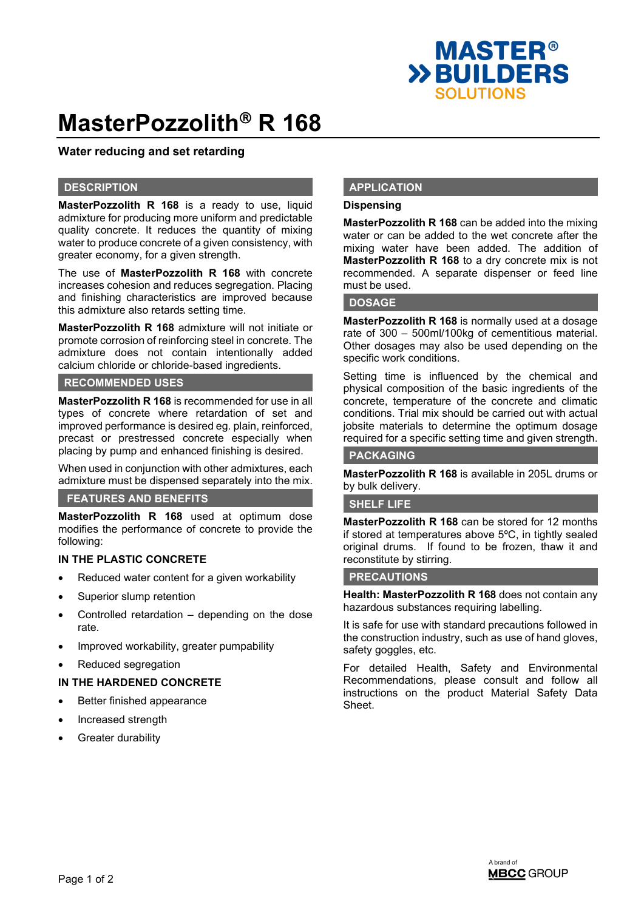

# **MasterPozzolith<sup>®</sup> R 168**

# **Water reducing and set retarding**

### **DESCRIPTION**

**MasterPozzolith R 168** is a ready to use, liquid admixture for producing more uniform and predictable quality concrete. It reduces the quantity of mixing water to produce concrete of a given consistency, with greater economy, for a given strength.

The use of **MasterPozzolith R 168** with concrete increases cohesion and reduces segregation. Placing and finishing characteristics are improved because this admixture also retards setting time.

**MasterPozzolith R 168** admixture will not initiate or promote corrosion of reinforcing steel in concrete. The admixture does not contain intentionally added calcium chloride or chloride-based ingredients.

# **RECOMMENDED USES**

**MasterPozzolith R 168** is recommended for use in all types of concrete where retardation of set and improved performance is desired eg. plain, reinforced, precast or prestressed concrete especially when placing by pump and enhanced finishing is desired.

When used in conjunction with other admixtures, each admixture must be dispensed separately into the mix.

#### **FEATURES AND BENEFITS**

**MasterPozzolith R 168** used at optimum dose modifies the performance of concrete to provide the following:

#### **IN THE PLASTIC CONCRETE**

- Reduced water content for a given workability
- Superior slump retention
- Controlled retardation  $-$  depending on the dose rate.
- Improved workability, greater pumpability
- Reduced segregation

# **IN THE HARDENED CONCRETE**

- Better finished appearance
- Increased strength
- **Greater durability**

# **APPLICATION**

# **Dispensing**

**MasterPozzolith R 168** can be added into the mixing water or can be added to the wet concrete after the mixing water have been added. The addition of **MasterPozzolith R 168** to a dry concrete mix is not recommended. A separate dispenser or feed line must be used.

#### **DOSAGE**

**MasterPozzolith R 168** is normally used at a dosage rate of 300 – 500ml/100kg of cementitious material. Other dosages may also be used depending on the specific work conditions.

Setting time is influenced by the chemical and physical composition of the basic ingredients of the concrete, temperature of the concrete and climatic conditions. Trial mix should be carried out with actual jobsite materials to determine the optimum dosage required for a specific setting time and given strength.

# **PACKAGING**

**MasterPozzolith R 168** is available in 205L drums or by bulk delivery.

# **SHELF LIFE**

**MasterPozzolith R 168** can be stored for 12 months if stored at temperatures above 5ºC, in tightly sealed original drums. If found to be frozen, thaw it and reconstitute by stirring.

#### **PRECAUTIONS**

**Health: MasterPozzolith R 168** does not contain any hazardous substances requiring labelling.

It is safe for use with standard precautions followed in the construction industry, such as use of hand gloves, safety goggles, etc.

For detailed Health, Safety and Environmental Recommendations, please consult and follow all instructions on the product Material Safety Data Sheet.